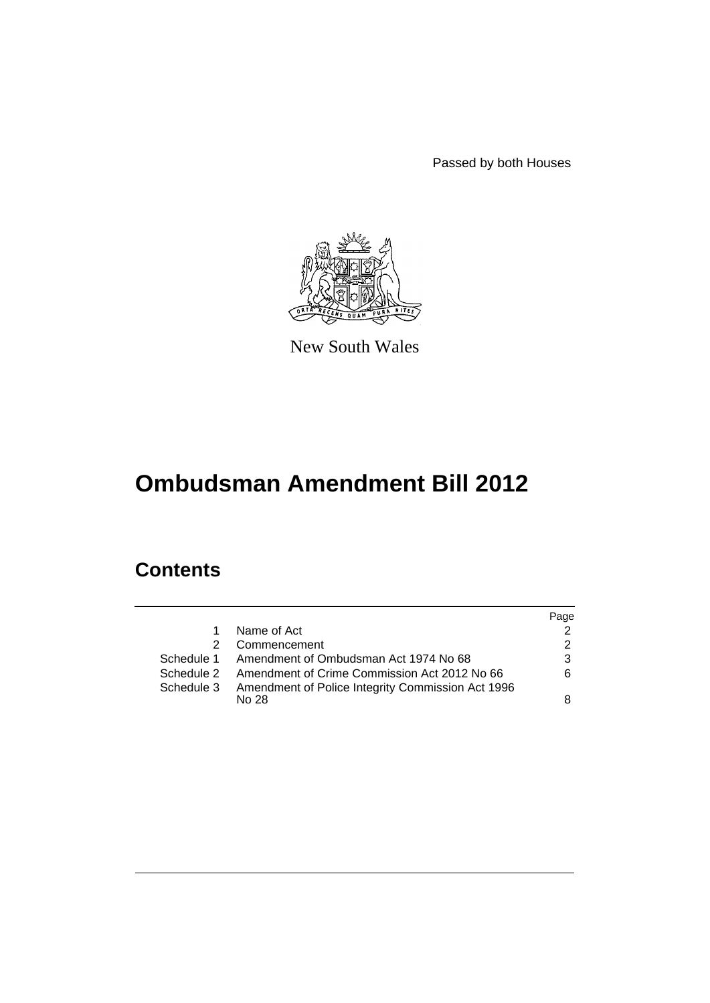Passed by both Houses



New South Wales

# **Ombudsman Amendment Bill 2012**

## **Contents**

|            |                                                   | Page          |
|------------|---------------------------------------------------|---------------|
| 1.         | Name of Act                                       | 2             |
| 2.         | Commencement                                      | $\mathcal{P}$ |
|            | Schedule 1 Amendment of Ombudsman Act 1974 No 68  | 3             |
| Schedule 2 | Amendment of Crime Commission Act 2012 No 66      | 6             |
| Schedule 3 | Amendment of Police Integrity Commission Act 1996 |               |
|            | No.28                                             | 8             |
|            |                                                   |               |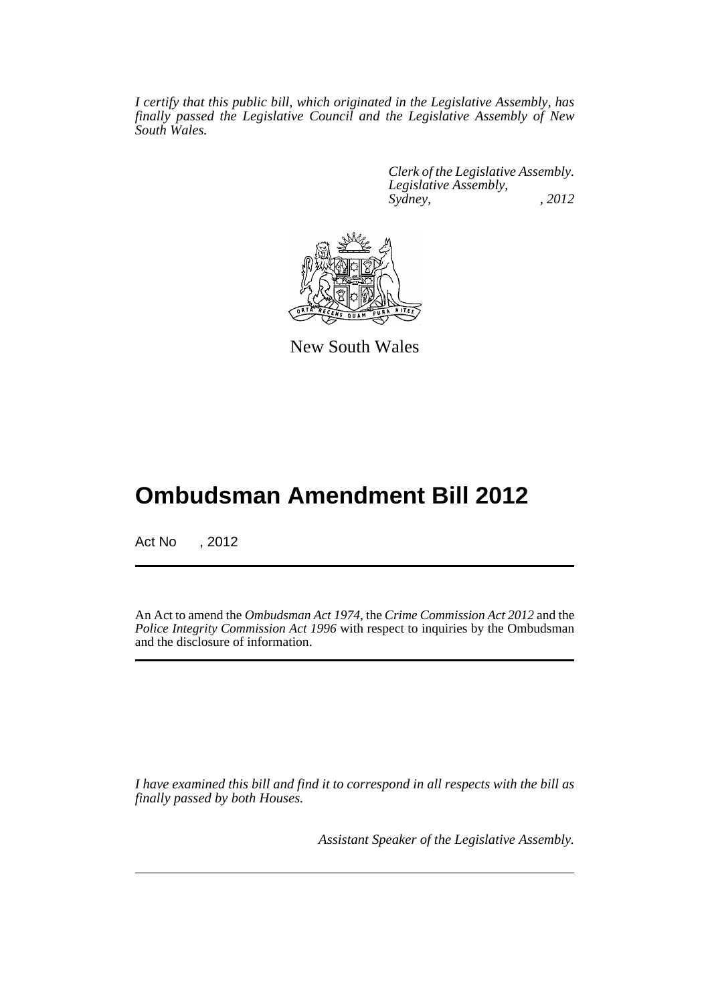*I certify that this public bill, which originated in the Legislative Assembly, has finally passed the Legislative Council and the Legislative Assembly of New South Wales.*

> *Clerk of the Legislative Assembly. Legislative Assembly, Sydney, , 2012*



New South Wales

## **Ombudsman Amendment Bill 2012**

Act No , 2012

An Act to amend the *Ombudsman Act 1974*, the *Crime Commission Act 2012* and the *Police Integrity Commission Act 1996* with respect to inquiries by the Ombudsman and the disclosure of information.

*I have examined this bill and find it to correspond in all respects with the bill as finally passed by both Houses.*

*Assistant Speaker of the Legislative Assembly.*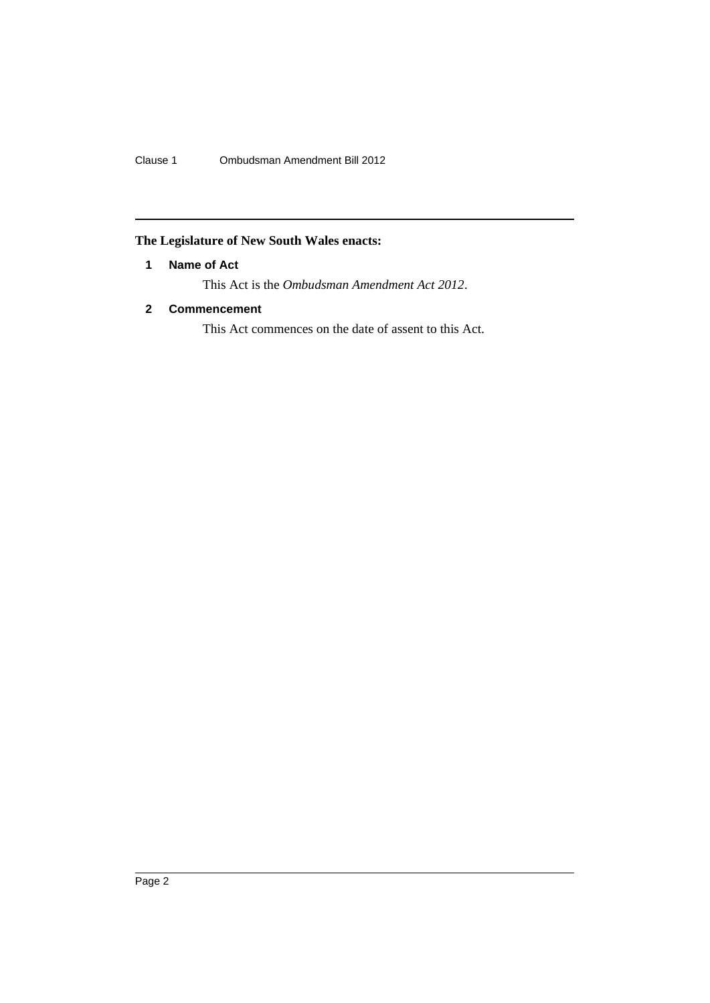Clause 1 Ombudsman Amendment Bill 2012

## <span id="page-3-0"></span>**The Legislature of New South Wales enacts:**

## **1 Name of Act**

This Act is the *Ombudsman Amendment Act 2012*.

## <span id="page-3-1"></span>**2 Commencement**

This Act commences on the date of assent to this Act.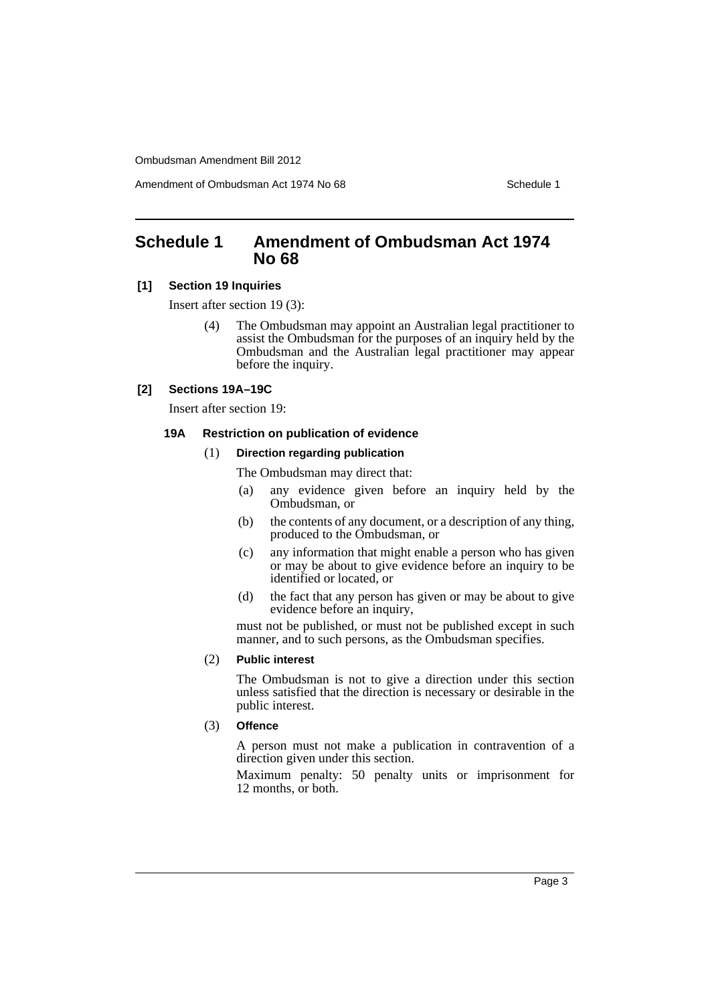Amendment of Ombudsman Act 1974 No 68 Schedule 1

## <span id="page-4-0"></span>**Schedule 1 Amendment of Ombudsman Act 1974 No 68**

#### **[1] Section 19 Inquiries**

Insert after section 19 (3):

(4) The Ombudsman may appoint an Australian legal practitioner to assist the Ombudsman for the purposes of an inquiry held by the Ombudsman and the Australian legal practitioner may appear before the inquiry.

#### **[2] Sections 19A–19C**

Insert after section 19:

#### **19A Restriction on publication of evidence**

#### (1) **Direction regarding publication**

The Ombudsman may direct that:

- (a) any evidence given before an inquiry held by the Ombudsman, or
- (b) the contents of any document, or a description of any thing, produced to the Ombudsman, or
- (c) any information that might enable a person who has given or may be about to give evidence before an inquiry to be identified or located, or
- (d) the fact that any person has given or may be about to give evidence before an inquiry,

must not be published, or must not be published except in such manner, and to such persons, as the Ombudsman specifies.

#### (2) **Public interest**

The Ombudsman is not to give a direction under this section unless satisfied that the direction is necessary or desirable in the public interest.

#### (3) **Offence**

A person must not make a publication in contravention of a direction given under this section.

Maximum penalty: 50 penalty units or imprisonment for 12 months, or both.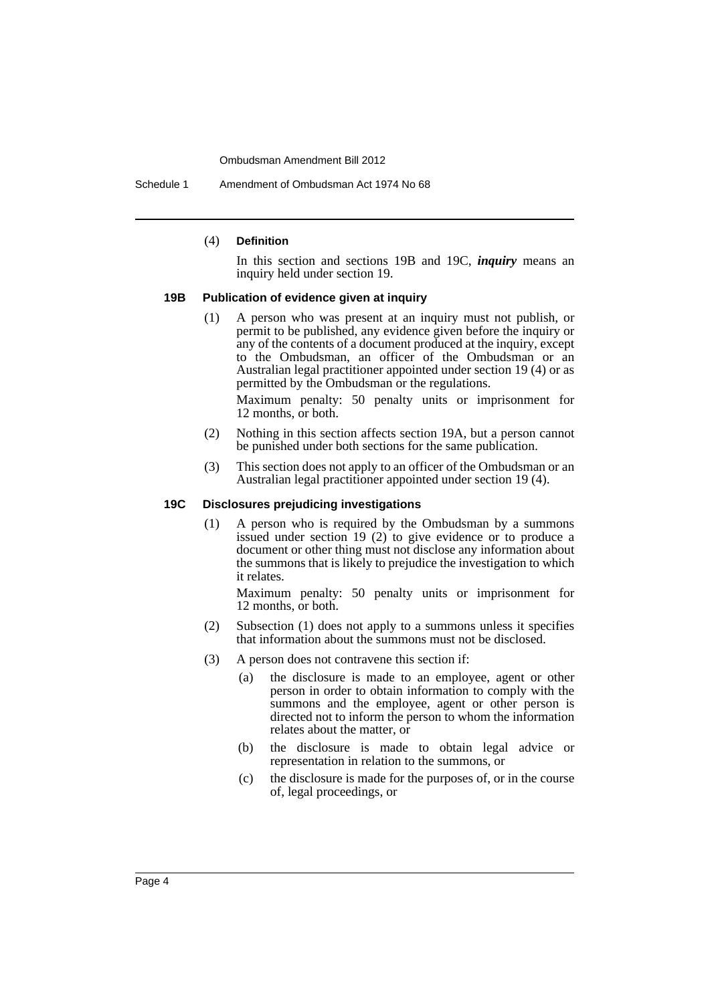Schedule 1 Amendment of Ombudsman Act 1974 No 68

#### (4) **Definition**

In this section and sections 19B and 19C, *inquiry* means an inquiry held under section 19.

#### **19B Publication of evidence given at inquiry**

(1) A person who was present at an inquiry must not publish, or permit to be published, any evidence given before the inquiry or any of the contents of a document produced at the inquiry, except to the Ombudsman, an officer of the Ombudsman or an Australian legal practitioner appointed under section 19 (4) or as permitted by the Ombudsman or the regulations.

Maximum penalty: 50 penalty units or imprisonment for 12 months, or both.

- (2) Nothing in this section affects section 19A, but a person cannot be punished under both sections for the same publication.
- (3) This section does not apply to an officer of the Ombudsman or an Australian legal practitioner appointed under section 19 (4).

#### **19C Disclosures prejudicing investigations**

(1) A person who is required by the Ombudsman by a summons issued under section 19 (2) to give evidence or to produce a document or other thing must not disclose any information about the summons that is likely to prejudice the investigation to which it relates.

Maximum penalty: 50 penalty units or imprisonment for 12 months, or both.

- (2) Subsection (1) does not apply to a summons unless it specifies that information about the summons must not be disclosed.
- (3) A person does not contravene this section if:
	- (a) the disclosure is made to an employee, agent or other person in order to obtain information to comply with the summons and the employee, agent or other person is directed not to inform the person to whom the information relates about the matter, or
	- (b) the disclosure is made to obtain legal advice or representation in relation to the summons, or
	- (c) the disclosure is made for the purposes of, or in the course of, legal proceedings, or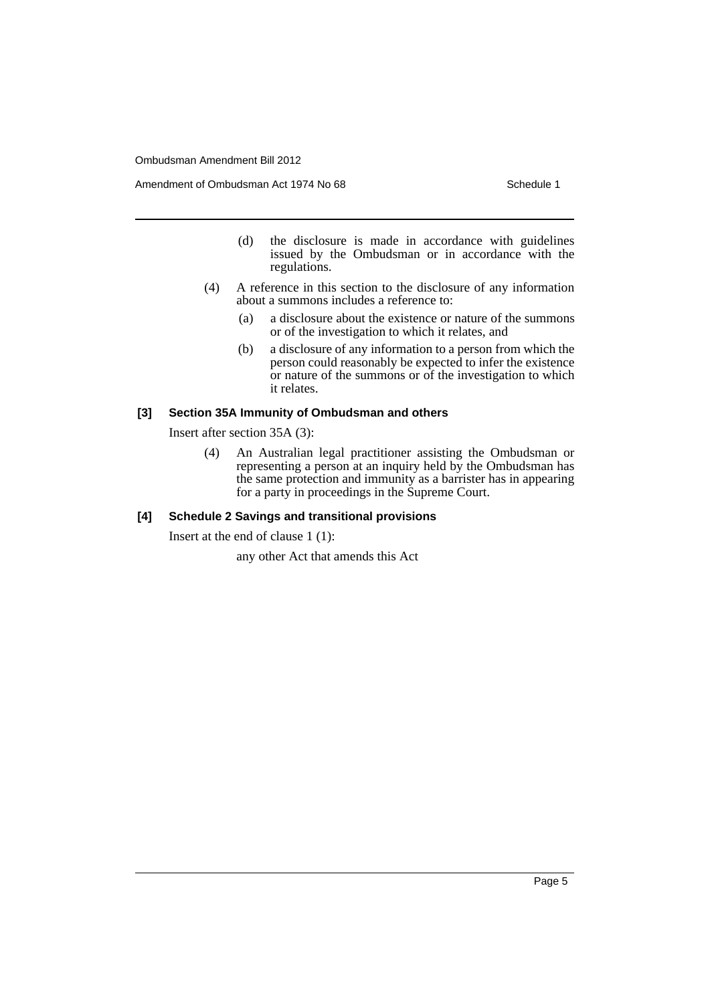Amendment of Ombudsman Act 1974 No 68 Schedule 1

- (d) the disclosure is made in accordance with guidelines issued by the Ombudsman or in accordance with the regulations.
- (4) A reference in this section to the disclosure of any information about a summons includes a reference to:
	- (a) a disclosure about the existence or nature of the summons or of the investigation to which it relates, and
	- (b) a disclosure of any information to a person from which the person could reasonably be expected to infer the existence or nature of the summons or of the investigation to which it relates.

#### **[3] Section 35A Immunity of Ombudsman and others**

Insert after section 35A (3):

(4) An Australian legal practitioner assisting the Ombudsman or representing a person at an inquiry held by the Ombudsman has the same protection and immunity as a barrister has in appearing for a party in proceedings in the Supreme Court.

### **[4] Schedule 2 Savings and transitional provisions**

Insert at the end of clause 1 (1):

any other Act that amends this Act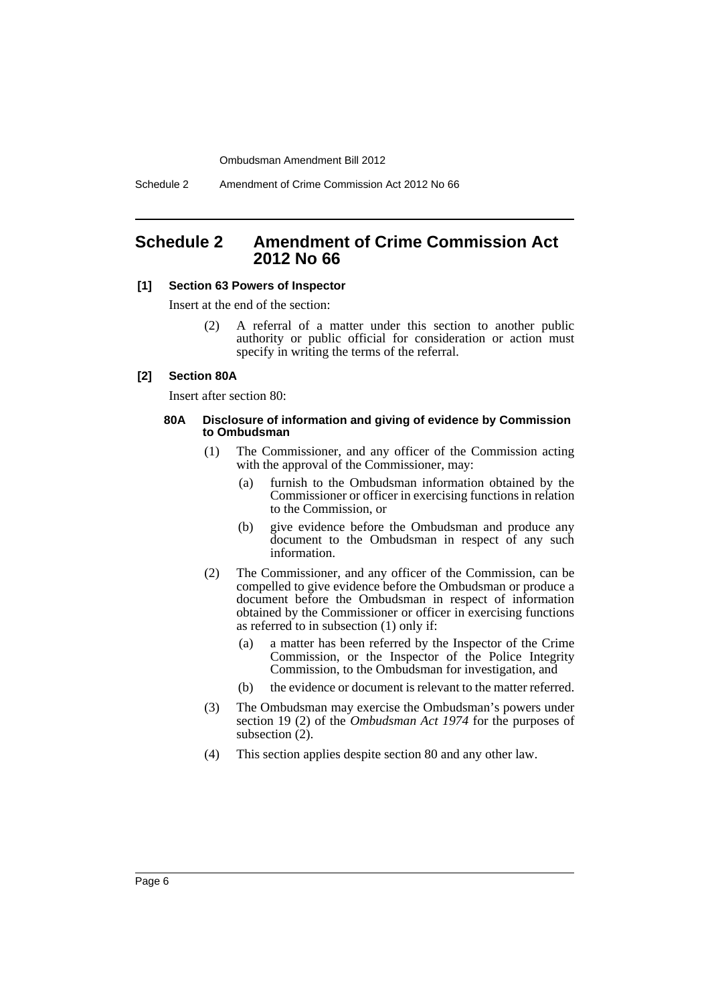Schedule 2 Amendment of Crime Commission Act 2012 No 66

## <span id="page-7-0"></span>**Schedule 2 Amendment of Crime Commission Act 2012 No 66**

#### **[1] Section 63 Powers of Inspector**

Insert at the end of the section:

(2) A referral of a matter under this section to another public authority or public official for consideration or action must specify in writing the terms of the referral.

#### **[2] Section 80A**

Insert after section 80:

#### **80A Disclosure of information and giving of evidence by Commission to Ombudsman**

- (1) The Commissioner, and any officer of the Commission acting with the approval of the Commissioner, may:
	- (a) furnish to the Ombudsman information obtained by the Commissioner or officer in exercising functions in relation to the Commission, or
	- (b) give evidence before the Ombudsman and produce any document to the Ombudsman in respect of any such information.
- (2) The Commissioner, and any officer of the Commission, can be compelled to give evidence before the Ombudsman or produce a document before the Ombudsman in respect of information obtained by the Commissioner or officer in exercising functions as referred to in subsection (1) only if:
	- (a) a matter has been referred by the Inspector of the Crime Commission, or the Inspector of the Police Integrity Commission, to the Ombudsman for investigation, and
	- (b) the evidence or document is relevant to the matter referred.
- (3) The Ombudsman may exercise the Ombudsman's powers under section 19 (2) of the *Ombudsman Act 1974* for the purposes of subsection (2).
- (4) This section applies despite section 80 and any other law.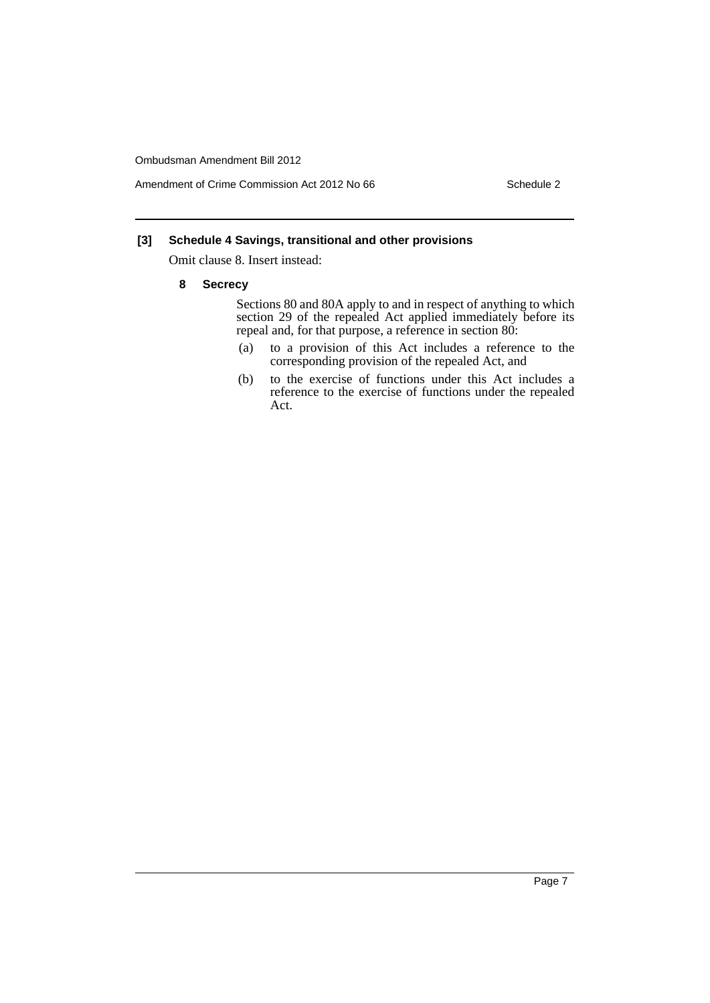Amendment of Crime Commission Act 2012 No 66 Schedule 2

#### **[3] Schedule 4 Savings, transitional and other provisions**

Omit clause 8. Insert instead:

**8 Secrecy**

Sections 80 and 80A apply to and in respect of anything to which section 29 of the repealed Act applied immediately before its repeal and, for that purpose, a reference in section 80:

- (a) to a provision of this Act includes a reference to the corresponding provision of the repealed Act, and
- (b) to the exercise of functions under this Act includes a reference to the exercise of functions under the repealed Act.